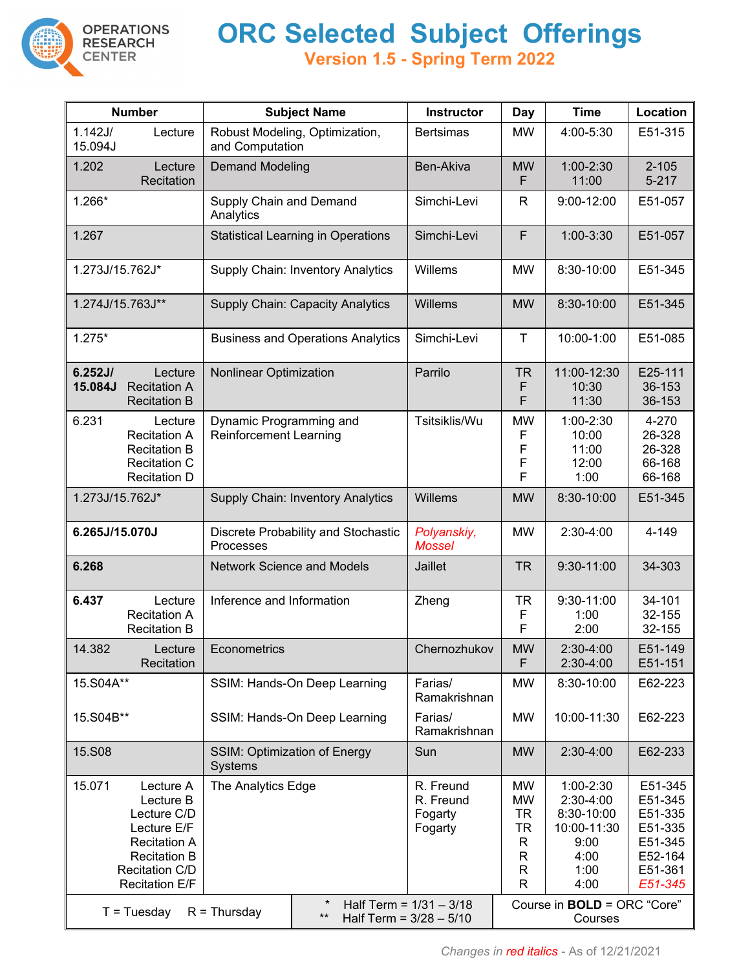

**OPERATIONS<br>RESEARCH** 

**CENTER** 

## **ORC Selected Subject Offerings**

**Version 1.5 - Spring Term 2022**

| <b>Number</b>                                                                                                                                                  | <b>Subject Name</b>                                         | Instructor                           | <b>Day</b>                    | <b>Time</b>                                                                                                               | Location                                                                             |
|----------------------------------------------------------------------------------------------------------------------------------------------------------------|-------------------------------------------------------------|--------------------------------------|-------------------------------|---------------------------------------------------------------------------------------------------------------------------|--------------------------------------------------------------------------------------|
| 1.142J/<br>Lecture<br>15.094J                                                                                                                                  | Robust Modeling, Optimization,<br>and Computation           | <b>Bertsimas</b>                     | <b>MW</b>                     | 4:00-5:30                                                                                                                 | E51-315                                                                              |
| 1.202<br>Lecture<br>Recitation                                                                                                                                 | <b>Demand Modeling</b>                                      | Ben-Akiva                            | <b>MW</b><br>F                | 1:00-2:30<br>11:00                                                                                                        | $2 - 105$<br>$5 - 217$                                                               |
| 1.266*                                                                                                                                                         | Supply Chain and Demand<br>Analytics                        | Simchi-Levi                          | R                             | 9:00-12:00                                                                                                                | E51-057                                                                              |
| 1.267                                                                                                                                                          | <b>Statistical Learning in Operations</b>                   | Simchi-Levi                          | $\mathsf F$                   | 1:00-3:30                                                                                                                 | E51-057                                                                              |
| 1.273J/15.762J*                                                                                                                                                | Supply Chain: Inventory Analytics                           | Willems                              | <b>MW</b>                     | 8:30-10:00                                                                                                                | E51-345                                                                              |
| 1.274J/15.763J**                                                                                                                                               | <b>Supply Chain: Capacity Analytics</b>                     | Willems                              | <b>MW</b>                     | 8:30-10:00                                                                                                                | E51-345                                                                              |
| $1.275*$                                                                                                                                                       | <b>Business and Operations Analytics</b>                    | Simchi-Levi                          | $\mathsf T$                   | 10:00-1:00                                                                                                                | E51-085                                                                              |
| 6.252J/<br>Lecture<br>15.084J<br><b>Recitation A</b><br><b>Recitation B</b>                                                                                    | Nonlinear Optimization                                      | Parrilo                              | <b>TR</b><br>F<br>F           | 11:00-12:30<br>10:30<br>11:30                                                                                             | E25-111<br>36-153<br>36-153                                                          |
| 6.231<br>Lecture<br><b>Recitation A</b><br><b>Recitation B</b><br><b>Recitation C</b><br><b>Recitation D</b>                                                   | Dynamic Programming and<br><b>Reinforcement Learning</b>    | Tsitsiklis/Wu                        | <b>MW</b><br>F<br>F<br>F<br>F | 1:00-2:30<br>10:00<br>11:00<br>12:00<br>1:00                                                                              | 4-270<br>26-328<br>26-328<br>66-168<br>66-168                                        |
| 1.273J/15.762J*                                                                                                                                                | Willems                                                     | <b>MW</b>                            | 8:30-10:00                    | E51-345                                                                                                                   |                                                                                      |
| 6.265J/15.070J                                                                                                                                                 | Discrete Probability and Stochastic<br>Processes            | Polyanskiy,<br><b>Mossel</b>         | <b>MW</b>                     | 2:30-4:00                                                                                                                 | 4-149                                                                                |
| 6.268                                                                                                                                                          | <b>Network Science and Models</b>                           | Jaillet                              | <b>TR</b>                     | 9:30-11:00                                                                                                                | 34-303                                                                               |
| 6.437<br>Lecture<br><b>Recitation A</b><br><b>Recitation B</b>                                                                                                 | Inference and Information                                   | Zheng                                | <b>TR</b><br>F<br>F           | 9:30-11:00<br>1:00<br>2:00                                                                                                | 34-101<br>32-155<br>32-155                                                           |
| 14.382<br>Lecture<br>Recitation                                                                                                                                | Econometrics                                                | Chernozhukov                         | $\textsf{MW}{}$<br>F          | 2:30-4:00<br>2:30-4:00                                                                                                    | E51-149<br>E51-151                                                                   |
| 15.S04A**                                                                                                                                                      | SSIM: Hands-On Deep Learning                                |                                      | <b>MW</b>                     | 8:30-10:00                                                                                                                | E62-223                                                                              |
| 15.S04B**                                                                                                                                                      | SSIM: Hands-On Deep Learning                                |                                      | <b>MW</b>                     | 10:00-11:30                                                                                                               | E62-223                                                                              |
| 15.S08                                                                                                                                                         | <b>SSIM: Optimization of Energy</b><br><b>Systems</b>       | Sun                                  | <b>MW</b>                     | 2:30-4:00                                                                                                                 | E62-233                                                                              |
| 15.071<br>Lecture A<br>Lecture B<br>Lecture C/D<br>Lecture E/F<br><b>Recitation A</b><br><b>Recitation B</b><br><b>Recitation C/D</b><br><b>Recitation E/F</b> | The Analytics Edge<br>$^\star$<br>Half Term = $1/31 - 3/18$ |                                      |                               | 1:00-2:30<br>2:30-4:00<br>8:30-10:00<br>10:00-11:30<br>9:00<br>4:00<br>1:00<br>4:00<br>Course in <b>BOLD</b> = ORC "Core" | E51-345<br>E51-345<br>E51-335<br>E51-335<br>E51-345<br>E52-164<br>E51-361<br>E51-345 |
| $T = Tuesday$<br>$R = Thursday$<br>$***$                                                                                                                       |                                                             | Half Term = $3/28 - 5/10$<br>Courses |                               |                                                                                                                           |                                                                                      |